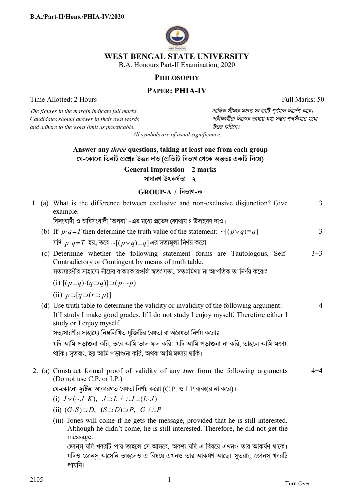

## **WEST BENGAL STATE UNIVERSITY**

B.A. Honours Part-II Examination, 2020

## **PHILOSOPHY**

# **PAPER: PHIA-IV**

Time Allotted: 2 Hours Full Marks: 50

*Candidates should answer in their own words পরীkাথীরা িনেজর ভাষায় যথা সmব শbসীমার মেধ° and adhere to the word limit as practicable. উtর কিরেব।*

*The figures in the margin indicate full marks. pািnক সীমার মধ°s সংখ°ািট পূণমান িনেদশ কের।*

*All symbols are of usual significance.*

## **Answer any** *three* **questions, taking at least one from each group য-কােনা িতনিট pেűর উtর দাও (pিতিট িবভাগ থেক অnতঃ একিট িনেয়)**

**General Impression – 2 marks সাধারণ উৎকষতা – ২**

## **GROUP-A / িবভাগ-ক**

|  | 1. (a) What is the difference between exclusive and non-exclusive disjunction? Give<br>example.                                                                                                                               | $\overline{3}$ |
|--|-------------------------------------------------------------------------------------------------------------------------------------------------------------------------------------------------------------------------------|----------------|
|  | বিসংবাদী ও অবিসংবাদী 'অথবা' -এর মধ্যে প্রভেদ কোথায় ? উদাহরণ দাও।                                                                                                                                                             |                |
|  | (b) If $p \cdot q = T$ then determine the truth value of the statement: $\sim [(p \vee q) \equiv q]$                                                                                                                          | 3              |
|  | যদি $p \cdot q = T$ হয়, তবে $\sim [(p \vee q) \equiv q]$ এর সত্যমূল্য নির্ণয় করো।                                                                                                                                           |                |
|  | (c) Determine whether the following statement forms are Tautologous, Self-<br>Contradictory or Contingent by means of truth table.<br>সত্যসারণীর সাহায্যে নীচের বাক্যাকারগুলি স্বতঃসত্য, স্বতঃমিথ্যা না আপতিক তা নির্ণয় করোঃ | $3 + 3$        |
|  | (i) $[(p \equiv q) \cdot (q \supset q)] \supset (p \cdot \sim p)$                                                                                                                                                             |                |
|  | (ii) $p \supset [q \supset (r \supset p)]$                                                                                                                                                                                    |                |
|  | (d) Use truth table to determine the validity or invalidity of the following argument:<br>If I study I make good grades. If I do not study I enjoy myself. Therefore either I<br>study or I enjoy myself.                     | $\overline{4}$ |
|  | সত্যসারণীর সাহায্যে নিম্নলিখিত যুক্তিটির বৈধতা বা অবৈধতা নির্ণয় করোঃ                                                                                                                                                         |                |
|  | যদি আমি পড়াশুনা করি, তবে আমি ভাল ফল করি। যদি আমি পড়াশুনা না করি, তাহলে আমি মজায়<br>থাকি। সুতরাং, হয় আমি পড়াশুনা করি, অথবা আমি মজায় থাকি।                                                                                |                |
|  | 2. (a) Construct formal proof of validity of any two from the following arguments<br>(Do not use C.P. or I.P.)                                                                                                                | $4 + 4$        |
|  | যে-কোনো <i>দুটির</i> আকারগত বৈধতা নির্ণয় করো (C.P. ও I.P.ব্যবহার না করে)।                                                                                                                                                    |                |
|  | (i) $J \vee (\sim J \cdot K)$ , $J \supset L /$ : $J \equiv (L \cdot J)$                                                                                                                                                      |                |
|  | (ii) $(G \cdot S) \supset D$ , $(S \supset D) \supset P$ , $G \cap P$                                                                                                                                                         |                |
|  | (iii) Jones will come if he gets the message, provided that he is still interested.<br>Although he didn't come, he is still interested. Therefore, he did not get the<br>message.                                             |                |
|  | জোন্স্ যদি খবরটি পায় তাহলে সে আসবে, অবশ্য যদি এ বিষয়ে এখনও তার আকর্ষণ থাকে।<br>যদিও জোন্স্ আসেনি তাহলেও এ বিষয়ে এখনও তার আকর্ষণ আছে। সুতরাং, জোন্স্ খবরটি<br>পায়নি।                                                       |                |
|  |                                                                                                                                                                                                                               |                |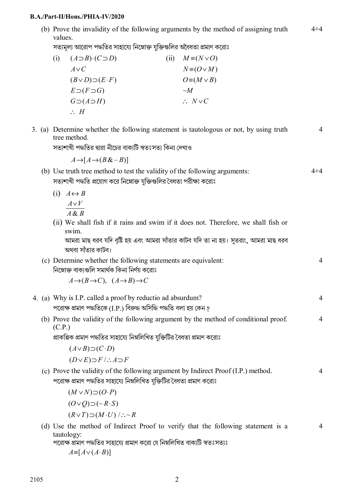#### **B.A./Part-II/Hons./PHIA-IV/2020**

(b) Prove the invalidity of the following arguments by the method of assigning truth values. 4+4

সত্যমূল্য আরোপ পদ্ধতির সাহায্যে নিম্নোক্ত যুক্তিগুলির অবৈধতা প্রমাণ করোঃ

| (1) | $(A \supset B) \cdot (C \supset D)$ | (11) | $M \equiv (N \vee O)$   |
|-----|-------------------------------------|------|-------------------------|
|     | $A \vee C$                          |      | $N \equiv (O \vee M)$   |
|     | $(B \vee D) \supset (E \cdot F)$    |      | $O \equiv (M \vee B)$   |
|     | $E\supset(F\supset G)$              |      | $\sim M$                |
|     | $G \supset (A \supset H)$           |      | $\therefore$ N $\vee$ C |
|     | $\therefore$ H                      |      |                         |

3. (a) Determine whether the following statement is tautologous or not, by using truth tree method. 4

সত্যশাখী পদ্ধতির দ্বারা নীচের বাক্যটি স্বতঃসত্য কিনা দেখাও

 $A \rightarrow [A \rightarrow (B \& -B)]$ 

- (b) Use truth tree method to test the validity of the following arguments: সত্যশাখী পদ্ধতি প্রয়োগ করে নিম্নোক্ত যুক্তিগুলির বৈধতা পরীক্ষা করোঃ 4+4
	- $(i)$   $A \leftrightarrow B$  $A ∨ V$

*A B* &

(ii) We shall fish if it rains and swim if it does not. Therefore, we shall fish or swim.

আমরা মাছ ধরব যদি বৃষ্টি হয় এবং আমরা সাঁতার কাটব যদি তা না হয়। সুতরাং, আমরা মাছ ধরব অথবা সাঁতার কাটব।

4

4

(c) Determine whether the following statements are equivalent: নিম্নোক্ত বাক্যগুলি সমাৰ্থক কিনা নিৰ্ণয় করোঃ

 $A \rightarrow (B \rightarrow C)$ ,  $(A \rightarrow B) \rightarrow C$ 

|  | 4. (a) Why is I.P. called a proof by reductio ad absurdum?                           |  |
|--|--------------------------------------------------------------------------------------|--|
|  | পরোক্ষ প্রমাণ পদ্ধতিকে (I.P.) বিরুদ্ধ অসিদ্ধি পদ্ধতি বলা হয় কেন ?                   |  |
|  | (b) Prove the validity of the following argument by the method of conditional proof. |  |

(b) Prove the validity of the following argument by the method of conditional proof. (C.P.)

প্রাকল্পিক প্রমাণ পদ্ধতির সাহায্যে নিম্নলিখিত যুক্তিটির বৈধতা প্রমাণ করোঃ

 $(A ∨ B) ∋ (C⋅D)$ 

$$
(D \vee E) \supset F \wedge : A \supset F
$$

(c) Prove the validity of the following argument by Indirect Proof (I.P.) method. পরোক্ষ প্রমাণ পদ্ধতির সাহায্যে নিম্নলিখিত যক্তিটির বৈধতা প্রমাণ করোঃ

$$
(M \vee N) \supset (O \cdot P)
$$
  

$$
(O \vee Q) \supset (\sim R \cdot S)
$$
  

$$
(R \vee T) \supset (M \cdot U) / \dots \sim R
$$

(d) Use the method of Indirect Proof to verify that the following statement is a tautology: 4

পরোক্ষ প্রমাণ পদ্ধতির সাহায্যে প্রমাণ করো যে নিম্নলিখিত বাকাটি স্বতঃসত্যঃ

 $A \equiv [A \lor (A \cdot B)]$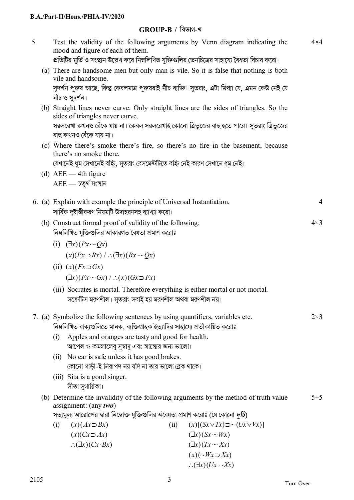## GROUP-B / বিভাগ-খ

 $5<sub>1</sub>$ Test the validity of the following arguments by Venn diagram indicating the  $4\times4$ mood and figure of each of them. প্রতিটির মূর্তি ও সংস্থান উল্লেখ করে নিম্নলিখিত যুক্তিগুলির ভেনচিত্রের সাহায্যে বৈধতা বিচার করো। (a) There are handsome men but only man is vile. So it is false that nothing is both vile and handsome. সদর্শন পরুষ আছে, কিন্তু কেবলমাত্র পরুষরাই নীচ ব্যক্তি। সতরাং, এটা মিথ্যা যে, এমন কেউ নেই যে নীচ ও সুদর্শন। (b) Straight lines never curve. Only straight lines are the sides of triangles. So the sides of triangles never curve. সরলরেখা কখনও বেঁকে যায় না। কেবল সরলরেখাই কোনো ত্রিভুজের বাহু হতে পারে। সুতরাং ত্রিভুজের বাহু কখনও বেঁকে যায় না। (c) Where there's smoke there's fire, so there's no fire in the basement, because there's no smoke there. যেখানেই ধূম সেখানেই বহ্নি, সূতরাং বেসমেন্টটিতে বহ্নি নেই কারণ সেখানে ধূম নেই। (d)  $AEE - 4th$  figure  $AEE$   $\equiv$  চতৰ্থ সংস্থান 6. (a) Explain with example the principle of Universal Instantiation.  $\overline{4}$ সার্বিক দষ্টাম্ভীকরণ নিয়মটি উদাহরণসহ ব্যাখ্যা করো। (b) Construct formal proof of validity of the following:  $4\times3$ নিম্নলিখিত যক্তিগুলির আকারগত বৈধতা প্রমাণ করোঃ (i)  $(\exists x)(Px \sim Ox)$  $(x)(Px \supset Rx) / \therefore (\exists x)(Rx \sim Qx)$ (ii)  $(x)(Fx\supset Gx)$  $(\exists x)(Fx - Gx) / ::(x)(Gx \supset Fx)$ (iii) Socrates is mortal. Therefore everything is either mortal or not mortal. সক্রেটিস মরণশীল। সতরাং সবাই হয় মরণশীল অথবা মরণশীল নয়। 7. (a) Symbolize the following sentences by using quantifiers, variables etc.  $2\times 3$ নিম্নলিখিত বাক্যগুলিতে মানক, ব্যক্তিগ্রাহক ইত্যাদির সাহায্যে প্রতীকায়িত করোঃ (i) Apples and oranges are tasty and good for health. আপেল ও কমলালেবু সুস্বাদু এবং স্বাস্থ্যের জন্য ভালো। (ii) No car is safe unless it has good brakes. কোনো গাডী-ই নিরাপদ নয় যদি না তার ভালো ব্রেক থাকে। (iii) Sita is a good singer. সীতা সুগায়িকা। (b) Determine the invalidity of the following arguments by the method of truth value  $5 + 5$ assignment:  $($ any  $two)$ সত্যমূল্য আরোপের দ্বারা নিম্নোক্ত যুক্তিগুলির অবৈধতা প্রমাণ করোঃ (যে কোনো *দুটি*)  $(i)$  $(x)(Ax \supset Bx)$  $(ii)$  $(x)$ [ $(Sx \vee Tx) \supset \sim (Ux \vee Vx)$ ]  $(x)(Cx \supset Ax)$  $(\exists x)(Sx \cdot \sim Wx)$  $\therefore (\exists x)(Cx \cdot Bx)$  $(\exists x)(Tx \sim Xx)$  $(x)(\sim Wx \supset Xx)$